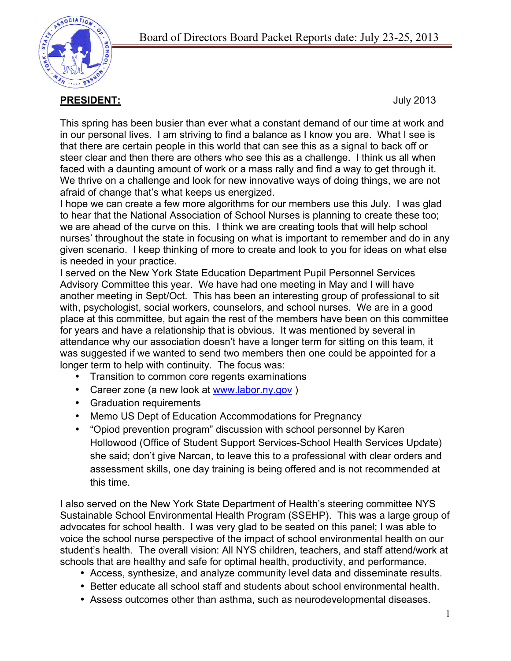

**PRESIDENT:** July 2013

This spring has been busier than ever what a constant demand of our time at work and in our personal lives. I am striving to find a balance as I know you are. What I see is that there are certain people in this world that can see this as a signal to back off or steer clear and then there are others who see this as a challenge. I think us all when faced with a daunting amount of work or a mass rally and find a way to get through it. We thrive on a challenge and look for new innovative ways of doing things, we are not afraid of change that's what keeps us energized.

I hope we can create a few more algorithms for our members use this July. I was glad to hear that the National Association of School Nurses is planning to create these too; we are ahead of the curve on this. I think we are creating tools that will help school nurses' throughout the state in focusing on what is important to remember and do in any given scenario. I keep thinking of more to create and look to you for ideas on what else is needed in your practice.

I served on the New York State Education Department Pupil Personnel Services Advisory Committee this year. We have had one meeting in May and I will have another meeting in Sept/Oct. This has been an interesting group of professional to sit with, psychologist, social workers, counselors, and school nurses. We are in a good place at this committee, but again the rest of the members have been on this committee for years and have a relationship that is obvious. It was mentioned by several in attendance why our association doesn't have a longer term for sitting on this team, it was suggested if we wanted to send two members then one could be appointed for a longer term to help with continuity. The focus was:

- Transition to common core regents examinations
- Career zone (a new look at www.labor.ny.gov )
- Graduation requirements
- Memo US Dept of Education Accommodations for Pregnancy
- "Opiod prevention program" discussion with school personnel by Karen Hollowood (Office of Student Support Services-School Health Services Update) she said; don't give Narcan, to leave this to a professional with clear orders and assessment skills, one day training is being offered and is not recommended at this time.

I also served on the New York State Department of Health's steering committee NYS Sustainable School Environmental Health Program (SSEHP). This was a large group of advocates for school health. I was very glad to be seated on this panel; I was able to voice the school nurse perspective of the impact of school environmental health on our student's health. The overall vision: All NYS children, teachers, and staff attend/work at schools that are healthy and safe for optimal health, productivity, and performance.

- Access, synthesize, and analyze community level data and disseminate results.
- Better educate all school staff and students about school environmental health.
- Assess outcomes other than asthma, such as neurodevelopmental diseases.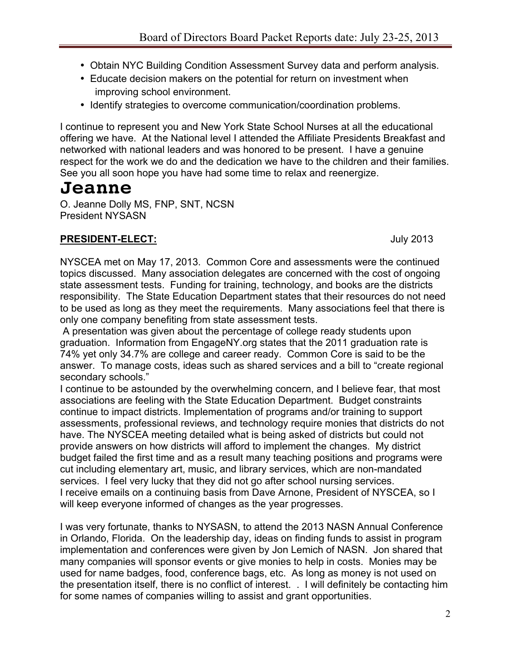- Obtain NYC Building Condition Assessment Survey data and perform analysis.
- Educate decision makers on the potential for return on investment when improving school environment.
- Identify strategies to overcome communication/coordination problems.

I continue to represent you and New York State School Nurses at all the educational offering we have. At the National level I attended the Affiliate Presidents Breakfast and networked with national leaders and was honored to be present. I have a genuine respect for the work we do and the dedication we have to the children and their families. See you all soon hope you have had some time to relax and reenergize.

# **Jeanne**

O. Jeanne Dolly MS, FNP, SNT, NCSN President NYSASN

## **PRESIDENT-ELECT:** July 2013

NYSCEA met on May 17, 2013. Common Core and assessments were the continued topics discussed. Many association delegates are concerned with the cost of ongoing state assessment tests. Funding for training, technology, and books are the districts responsibility. The State Education Department states that their resources do not need to be used as long as they meet the requirements. Many associations feel that there is only one company benefiting from state assessment tests.

 A presentation was given about the percentage of college ready students upon graduation. Information from EngageNY.org states that the 2011 graduation rate is 74% yet only 34.7% are college and career ready. Common Core is said to be the answer. To manage costs, ideas such as shared services and a bill to "create regional secondary schools."

I continue to be astounded by the overwhelming concern, and I believe fear, that most associations are feeling with the State Education Department. Budget constraints continue to impact districts. Implementation of programs and/or training to support assessments, professional reviews, and technology require monies that districts do not have. The NYSCEA meeting detailed what is being asked of districts but could not provide answers on how districts will afford to implement the changes. My district budget failed the first time and as a result many teaching positions and programs were cut including elementary art, music, and library services, which are non-mandated services. I feel very lucky that they did not go after school nursing services. I receive emails on a continuing basis from Dave Arnone, President of NYSCEA, so I will keep everyone informed of changes as the year progresses.

I was very fortunate, thanks to NYSASN, to attend the 2013 NASN Annual Conference in Orlando, Florida. On the leadership day, ideas on finding funds to assist in program implementation and conferences were given by Jon Lemich of NASN. Jon shared that many companies will sponsor events or give monies to help in costs. Monies may be used for name badges, food, conference bags, etc. As long as money is not used on the presentation itself, there is no conflict of interest. . I will definitely be contacting him for some names of companies willing to assist and grant opportunities.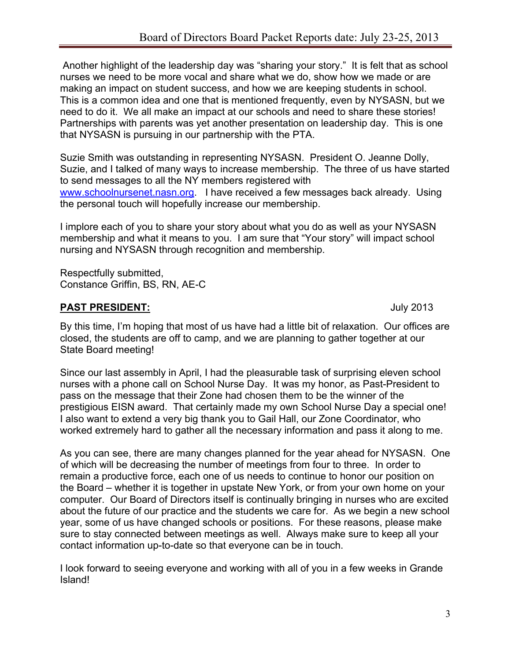Another highlight of the leadership day was "sharing your story." It is felt that as school nurses we need to be more vocal and share what we do, show how we made or are making an impact on student success, and how we are keeping students in school. This is a common idea and one that is mentioned frequently, even by NYSASN, but we need to do it. We all make an impact at our schools and need to share these stories! Partnerships with parents was yet another presentation on leadership day. This is one that NYSASN is pursuing in our partnership with the PTA.

Suzie Smith was outstanding in representing NYSASN. President O. Jeanne Dolly, Suzie, and I talked of many ways to increase membership. The three of us have started to send messages to all the NY members registered with www.schoolnursenet.nasn.org. I have received a few messages back already. Using the personal touch will hopefully increase our membership.

I implore each of you to share your story about what you do as well as your NYSASN membership and what it means to you. I am sure that "Your story" will impact school nursing and NYSASN through recognition and membership.

Respectfully submitted, Constance Griffin, BS, RN, AE-C

### **PAST PRESIDENT:** July 2013

By this time, I'm hoping that most of us have had a little bit of relaxation. Our offices are closed, the students are off to camp, and we are planning to gather together at our State Board meeting!

Since our last assembly in April, I had the pleasurable task of surprising eleven school nurses with a phone call on School Nurse Day. It was my honor, as Past-President to pass on the message that their Zone had chosen them to be the winner of the prestigious EISN award. That certainly made my own School Nurse Day a special one! I also want to extend a very big thank you to Gail Hall, our Zone Coordinator, who worked extremely hard to gather all the necessary information and pass it along to me.

As you can see, there are many changes planned for the year ahead for NYSASN. One of which will be decreasing the number of meetings from four to three. In order to remain a productive force, each one of us needs to continue to honor our position on the Board – whether it is together in upstate New York, or from your own home on your computer. Our Board of Directors itself is continually bringing in nurses who are excited about the future of our practice and the students we care for. As we begin a new school year, some of us have changed schools or positions. For these reasons, please make sure to stay connected between meetings as well. Always make sure to keep all your contact information up-to-date so that everyone can be in touch.

I look forward to seeing everyone and working with all of you in a few weeks in Grande Island!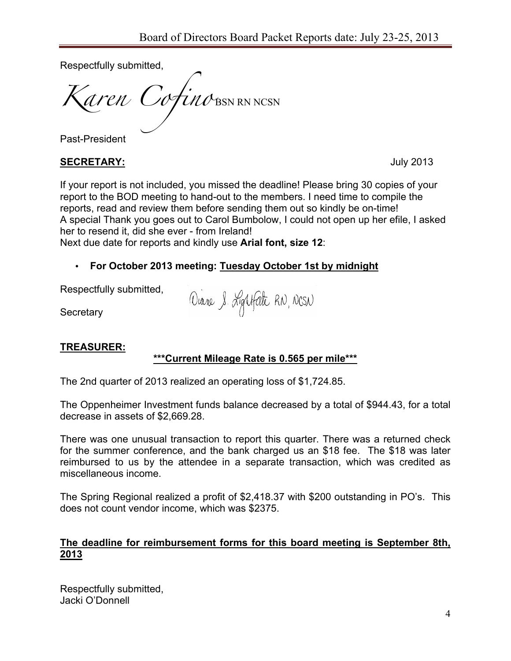Respectfully submitted,

*Karen Cofino* BSN RN NCSN

Past-President

#### **SECRETARY:** July 2013

If your report is not included, you missed the deadline! Please bring 30 copies of your report to the BOD meeting to hand-out to the members. I need time to compile the reports, read and review them before sending them out so kindly be on-time! A special Thank you goes out to Carol Bumbolow, I could not open up her efile, I asked her to resend it, did she ever - from Ireland!

Next due date for reports and kindly use **Arial font, size 12**:

### • **For October 2013 meeting: Tuesday October 1st by midnight**

Respectfully submitted,

Diane & Lightfath RN, NCSN

**Secretary** 

### **TREASURER:**

### **\*\*\*Current Mileage Rate is 0.565 per mile\*\*\***

The 2nd quarter of 2013 realized an operating loss of \$1,724.85.

The Oppenheimer Investment funds balance decreased by a total of \$944.43, for a total decrease in assets of \$2,669.28.

There was one unusual transaction to report this quarter. There was a returned check for the summer conference, and the bank charged us an \$18 fee. The \$18 was later reimbursed to us by the attendee in a separate transaction, which was credited as miscellaneous income.

The Spring Regional realized a profit of \$2,418.37 with \$200 outstanding in PO's. This does not count vendor income, which was \$2375.

#### **The deadline for reimbursement forms for this board meeting is September 8th, 2013**

Respectfully submitted, Jacki O'Donnell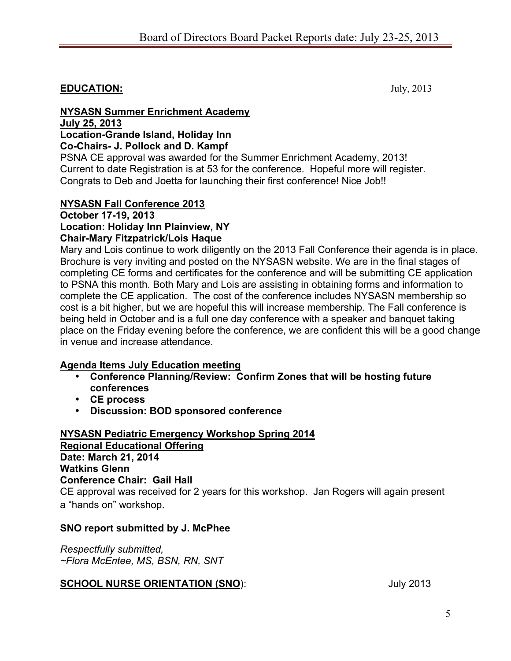## **EDUCATION:** July, 2013

#### **NYSASN Summer Enrichment Academy July 25, 2013 Location-Grande Island, Holiday Inn Co-Chairs- J. Pollock and D. Kampf**

PSNA CE approval was awarded for the Summer Enrichment Academy, 2013! Current to date Registration is at 53 for the conference. Hopeful more will register. Congrats to Deb and Joetta for launching their first conference! Nice Job!!

#### **NYSASN Fall Conference 2013**

#### **October 17-19, 2013 Location: Holiday Inn Plainview, NY Chair-Mary Fitzpatrick/Lois Haque**

Mary and Lois continue to work diligently on the 2013 Fall Conference their agenda is in place. Brochure is very inviting and posted on the NYSASN website. We are in the final stages of completing CE forms and certificates for the conference and will be submitting CE application to PSNA this month. Both Mary and Lois are assisting in obtaining forms and information to complete the CE application. The cost of the conference includes NYSASN membership so cost is a bit higher, but we are hopeful this will increase membership. The Fall conference is being held in October and is a full one day conference with a speaker and banquet taking place on the Friday evening before the conference, we are confident this will be a good change in venue and increase attendance.

#### **Agenda Items July Education meeting**

- **Conference Planning/Review: Confirm Zones that will be hosting future conferences**
- **CE process**
- **Discussion: BOD sponsored conference**

#### **NYSASN Pediatric Emergency Workshop Spring 2014 Regional Educational Offering Date: March 21, 2014 Watkins Glenn Conference Chair: Gail Hall**  CE approval was received for 2 years for this workshop. Jan Rogers will again present a "hands on" workshop.

#### **SNO report submitted by J. McPhee**

*Respectfully submitted, ~Flora McEntee, MS, BSN, RN, SNT*

### **SCHOOL NURSE ORIENTATION (SNO):** July 2013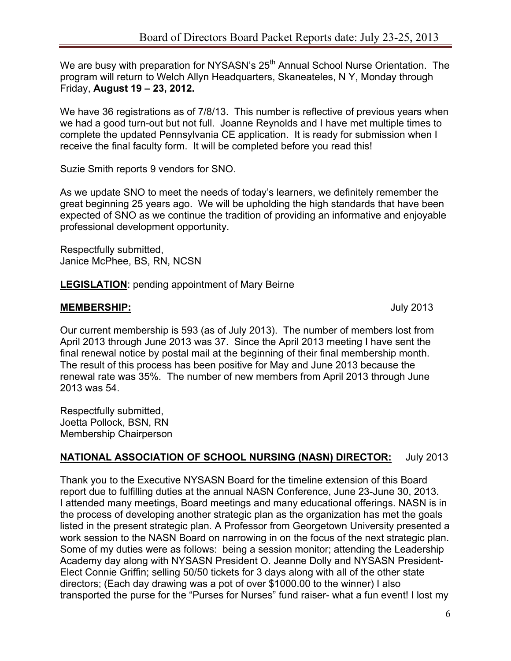We are busy with preparation for NYSASN's 25<sup>th</sup> Annual School Nurse Orientation. The program will return to Welch Allyn Headquarters, Skaneateles, N Y, Monday through Friday, **August 19 – 23, 2012.** 

We have 36 registrations as of 7/8/13. This number is reflective of previous years when we had a good turn-out but not full. Joanne Reynolds and I have met multiple times to complete the updated Pennsylvania CE application. It is ready for submission when I receive the final faculty form. It will be completed before you read this!

Suzie Smith reports 9 vendors for SNO.

As we update SNO to meet the needs of today's learners, we definitely remember the great beginning 25 years ago. We will be upholding the high standards that have been expected of SNO as we continue the tradition of providing an informative and enjoyable professional development opportunity.

Respectfully submitted, Janice McPhee, BS, RN, NCSN

**LEGISLATION**: pending appointment of Mary Beirne

#### **MEMBERSHIP:** July 2013

Our current membership is 593 (as of July 2013). The number of members lost from April 2013 through June 2013 was 37. Since the April 2013 meeting I have sent the final renewal notice by postal mail at the beginning of their final membership month. The result of this process has been positive for May and June 2013 because the renewal rate was 35%. The number of new members from April 2013 through June 2013 was 54.

Respectfully submitted, Joetta Pollock, BSN, RN Membership Chairperson

#### **NATIONAL ASSOCIATION OF SCHOOL NURSING (NASN) DIRECTOR:** July 2013

Thank you to the Executive NYSASN Board for the timeline extension of this Board report due to fulfilling duties at the annual NASN Conference, June 23-June 30, 2013. I attended many meetings, Board meetings and many educational offerings. NASN is in the process of developing another strategic plan as the organization has met the goals listed in the present strategic plan. A Professor from Georgetown University presented a work session to the NASN Board on narrowing in on the focus of the next strategic plan. Some of my duties were as follows: being a session monitor; attending the Leadership Academy day along with NYSASN President O. Jeanne Dolly and NYSASN President-Elect Connie Griffin; selling 50/50 tickets for 3 days along with all of the other state directors; (Each day drawing was a pot of over \$1000.00 to the winner) I also transported the purse for the "Purses for Nurses" fund raiser- what a fun event! I lost my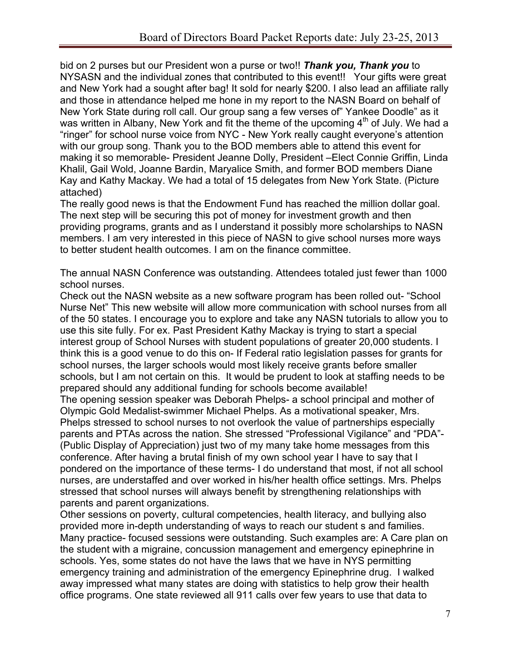bid on 2 purses but our President won a purse or two!! *Thank you, Thank you* to NYSASN and the individual zones that contributed to this event!! Your gifts were great and New York had a sought after bag! It sold for nearly \$200. I also lead an affiliate rally and those in attendance helped me hone in my report to the NASN Board on behalf of New York State during roll call. Our group sang a few verses of" Yankee Doodle" as it was written in Albany, New York and fit the theme of the upcoming  $4<sup>th</sup>$  of July. We had a "ringer" for school nurse voice from NYC - New York really caught everyone's attention with our group song. Thank you to the BOD members able to attend this event for making it so memorable- President Jeanne Dolly, President –Elect Connie Griffin, Linda Khalil, Gail Wold, Joanne Bardin, Maryalice Smith, and former BOD members Diane Kay and Kathy Mackay. We had a total of 15 delegates from New York State. (Picture attached)

The really good news is that the Endowment Fund has reached the million dollar goal. The next step will be securing this pot of money for investment growth and then providing programs, grants and as I understand it possibly more scholarships to NASN members. I am very interested in this piece of NASN to give school nurses more ways to better student health outcomes. I am on the finance committee.

The annual NASN Conference was outstanding. Attendees totaled just fewer than 1000 school nurses.

Check out the NASN website as a new software program has been rolled out- "School Nurse Net" This new website will allow more communication with school nurses from all of the 50 states. I encourage you to explore and take any NASN tutorials to allow you to use this site fully. For ex. Past President Kathy Mackay is trying to start a special interest group of School Nurses with student populations of greater 20,000 students. I think this is a good venue to do this on- If Federal ratio legislation passes for grants for school nurses, the larger schools would most likely receive grants before smaller schools, but I am not certain on this. It would be prudent to look at staffing needs to be prepared should any additional funding for schools become available! The opening session speaker was Deborah Phelps- a school principal and mother of Olympic Gold Medalist-swimmer Michael Phelps. As a motivational speaker, Mrs. Phelps stressed to school nurses to not overlook the value of partnerships especially parents and PTAs across the nation. She stressed "Professional Vigilance" and "PDA"- (Public Display of Appreciation) just two of my many take home messages from this conference. After having a brutal finish of my own school year I have to say that I pondered on the importance of these terms- I do understand that most, if not all school nurses, are understaffed and over worked in his/her health office settings. Mrs. Phelps stressed that school nurses will always benefit by strengthening relationships with parents and parent organizations.

Other sessions on poverty, cultural competencies, health literacy, and bullying also provided more in-depth understanding of ways to reach our student s and families. Many practice- focused sessions were outstanding. Such examples are: A Care plan on the student with a migraine, concussion management and emergency epinephrine in schools. Yes, some states do not have the laws that we have in NYS permitting emergency training and administration of the emergency Epinephrine drug. I walked away impressed what many states are doing with statistics to help grow their health office programs. One state reviewed all 911 calls over few years to use that data to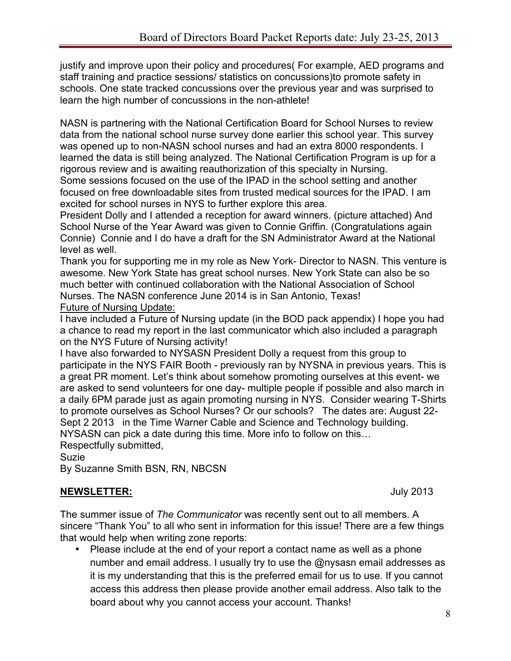justify and improve upon their policy and procedures( For example, AED programs and staff training and practice sessions/ statistics on concussions)to promote safety in schools. One state tracked concussions over the previous year and was surprised to learn the high number of concussions in the non-athlete!

NASN is partnering with the National Certification Board for School Nurses to review data from the national school nurse survey done earlier this school year. This survey was opened up to non-NASN school nurses and had an extra 8000 respondents. I learned the data is still being analyzed. The National Certification Program is up for a rigorous review and is awaiting reauthorization of this specialty in Nursing.

Some sessions focused on the use of the IPAD in the school setting and another focused on free downloadable sites from trusted medical sources for the IPAD. I am excited for school nurses in NYS to further explore this area.

President Dolly and I attended a reception for award winners. (picture attached) And School Nurse of the Year Award was given to Connie Griffin. (Congratulations again Connie) Connie and I do have a draft for the SN Administrator Award at the National level as well.

Thank you for supporting me in my role as New York- Director to NASN. This venture is awesome. New York State has great school nurses. New York State can also be so much better with continued collaboration with the National Association of School Nurses. The NASN conference June 2014 is in San Antonio, Texas! Future of Nursing Update:

I have included a Future of Nursing update (in the BOD pack appendix) I hope you had a chance to read my report in the last communicator which also included a paragraph on the NYS Future of Nursing activity!

I have also forwarded to NYSASN President Dolly a request from this group to participate in the NYS FAIR Booth - previously ran by NYSNA in previous years. This is a great PR moment. Let's think about somehow promoting ourselves at this event- we are asked to send volunteers for one day- multiple people if possible and also march in a daily 6PM parade just as again promoting nursing in NYS. Consider wearing T-Shirts to promote ourselves as School Nurses? Or our schools? The dates are: August 22- Sept 2 2013 in the Time Warner Cable and Science and Technology building. NYSASN can pick a date during this time. More info to follow on this…

Respectfully submitted,

Suzie

By Suzanne Smith BSN, RN, NBCSN

#### **NEWSLETTER:** July 2013

The summer issue of *The Communicator* was recently sent out to all members. A sincere "Thank You" to all who sent in information for this issue! There are a few things that would help when writing zone reports:

• Please include at the end of your report a contact name as well as a phone number and email address. I usually try to use the @nysasn email addresses as it is my understanding that this is the preferred email for us to use. If you cannot access this address then please provide another email address. Also talk to the board about why you cannot access your account. Thanks!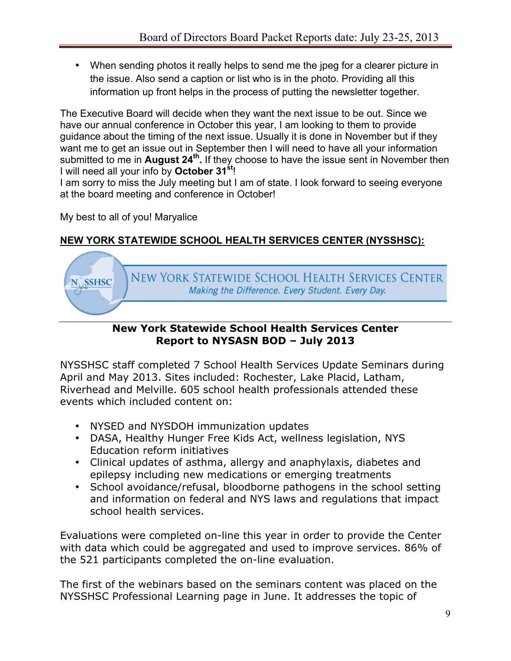• When sending photos it really helps to send me the jpeg for a clearer picture in the issue. Also send a caption or list who is in the photo. Providing all this information up front helps in the process of putting the newsletter together.

The Executive Board will decide when they want the next issue to be out. Since we have our annual conference in October this year, I am looking to them to provide guidance about the timing of the next issue. Usually it is done in November but if they want me to get an issue out in September then I will need to have all your information submitted to me in **August 24th.** If they choose to have the issue sent in November then I will need all your info by **October 31st**!

I am sorry to miss the July meeting but I am of state. I look forward to seeing everyone at the board meeting and conference in October!

My best to all of you! Maryalice

## **NEW YORK STATEWIDE SCHOOL HEALTH SERVICES CENTER (NYSSHSC):**



## **New York Statewide School Health Services Center Report to NYSASN BOD – July 2013**

NYSSHSC staff completed 7 School Health Services Update Seminars during April and May 2013. Sites included: Rochester, Lake Placid, Latham, Riverhead and Melville. 605 school health professionals attended these events which included content on:

- NYSED and NYSDOH immunization updates
- DASA, Healthy Hunger Free Kids Act, wellness legislation, NYS Education reform initiatives
- Clinical updates of asthma, allergy and anaphylaxis, diabetes and epilepsy including new medications or emerging treatments
- School avoidance/refusal, bloodborne pathogens in the school setting and information on federal and NYS laws and regulations that impact school health services.

Evaluations were completed on-line this year in order to provide the Center with data which could be aggregated and used to improve services. 86% of the 521 participants completed the on-line evaluation.

The first of the webinars based on the seminars content was placed on the NYSSHSC Professional Learning page in June. It addresses the topic of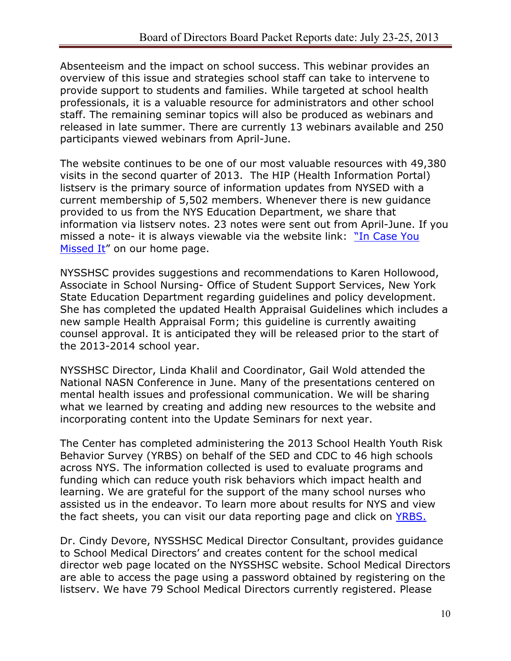Absenteeism and the impact on school success. This webinar provides an overview of this issue and strategies school staff can take to intervene to provide support to students and families. While targeted at school health professionals, it is a valuable resource for administrators and other school staff. The remaining seminar topics will also be produced as webinars and released in late summer. There are currently 13 webinars available and 250 participants viewed webinars from April-June.

The website continues to be one of our most valuable resources with 49,380 visits in the second quarter of 2013. The HIP (Health Information Portal) listserv is the primary source of information updates from NYSED with a current membership of 5,502 members. Whenever there is new guidance provided to us from the NYS Education Department, we share that information via listserv notes. 23 notes were sent out from April-June. If you missed a note- it is always viewable via the website link: "In Case You Missed It" on our home page.

NYSSHSC provides suggestions and recommendations to Karen Hollowood, Associate in School Nursing- Office of Student Support Services, New York State Education Department regarding guidelines and policy development. She has completed the updated Health Appraisal Guidelines which includes a new sample Health Appraisal Form; this guideline is currently awaiting counsel approval. It is anticipated they will be released prior to the start of the 2013-2014 school year.

NYSSHSC Director, Linda Khalil and Coordinator, Gail Wold attended the National NASN Conference in June. Many of the presentations centered on mental health issues and professional communication. We will be sharing what we learned by creating and adding new resources to the website and incorporating content into the Update Seminars for next year.

The Center has completed administering the 2013 School Health Youth Risk Behavior Survey (YRBS) on behalf of the SED and CDC to 46 high schools across NYS. The information collected is used to evaluate programs and funding which can reduce youth risk behaviors which impact health and learning. We are grateful for the support of the many school nurses who assisted us in the endeavor. To learn more about results for NYS and view the fact sheets, you can visit our data reporting page and click on YRBS.

Dr. Cindy Devore, NYSSHSC Medical Director Consultant, provides guidance to School Medical Directors' and creates content for the school medical director web page located on the NYSSHSC website. School Medical Directors are able to access the page using a password obtained by registering on the listserv. We have 79 School Medical Directors currently registered. Please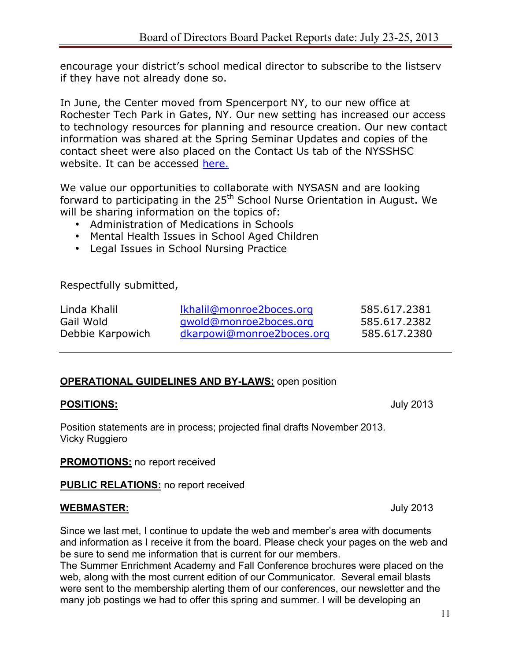encourage your district's school medical director to subscribe to the listserv if they have not already done so.

In June, the Center moved from Spencerport NY, to our new office at Rochester Tech Park in Gates, NY. Our new setting has increased our access to technology resources for planning and resource creation. Our new contact information was shared at the Spring Seminar Updates and copies of the contact sheet were also placed on the Contact Us tab of the NYSSHSC website. It can be accessed here.

We value our opportunities to collaborate with NYSASN and are looking forward to participating in the 25<sup>th</sup> School Nurse Orientation in August. We will be sharing information on the topics of:

- Administration of Medications in Schools
- Mental Health Issues in School Aged Children
- Legal Issues in School Nursing Practice

Respectfully submitted,

| Linda Khalil     | Ikhalil@monroe2boces.org  | 585.617.2381 |
|------------------|---------------------------|--------------|
| Gail Wold        | gwold@monroe2boces.org    | 585.617.2382 |
| Debbie Karpowich | dkarpowi@monroe2boces.org | 585.617.2380 |

### **OPERATIONAL GUIDELINES AND BY-LAWS:** open position

#### **POSITIONS:** July 2013

Position statements are in process; projected final drafts November 2013. Vicky Ruggiero

**PROMOTIONS:** no report received

**PUBLIC RELATIONS:** no report received

#### **WEBMASTER:** July 2013

Since we last met, I continue to update the web and member's area with documents and information as I receive it from the board. Please check your pages on the web and be sure to send me information that is current for our members.

The Summer Enrichment Academy and Fall Conference brochures were placed on the web, along with the most current edition of our Communicator. Several email blasts were sent to the membership alerting them of our conferences, our newsletter and the many job postings we had to offer this spring and summer. I will be developing an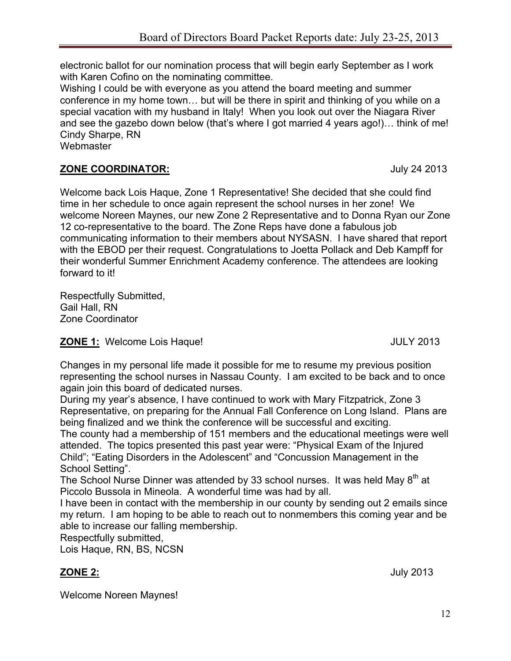electronic ballot for our nomination process that will begin early September as I work with Karen Cofino on the nominating committee.

Wishing I could be with everyone as you attend the board meeting and summer conference in my home town… but will be there in spirit and thinking of you while on a special vacation with my husband in Italy! When you look out over the Niagara River and see the gazebo down below (that's where I got married 4 years ago!)… think of me! Cindy Sharpe, RN

Webmaster

## **ZONE COORDINATOR:** July 24 2013

Welcome back Lois Haque, Zone 1 Representative! She decided that she could find time in her schedule to once again represent the school nurses in her zone! We welcome Noreen Maynes, our new Zone 2 Representative and to Donna Ryan our Zone 12 co-representative to the board. The Zone Reps have done a fabulous job communicating information to their members about NYSASN. I have shared that report with the EBOD per their request. Congratulations to Joetta Pollack and Deb Kampff for their wonderful Summer Enrichment Academy conference. The attendees are looking forward to it!

Respectfully Submitted, Gail Hall, RN Zone Coordinator

### **ZONE 1:** Welcome Lois Haque! JULY 2013

Changes in my personal life made it possible for me to resume my previous position representing the school nurses in Nassau County. I am excited to be back and to once again join this board of dedicated nurses.

During my year's absence, I have continued to work with Mary Fitzpatrick, Zone 3 Representative, on preparing for the Annual Fall Conference on Long Island. Plans are being finalized and we think the conference will be successful and exciting.

The county had a membership of 151 members and the educational meetings were well attended. The topics presented this past year were: "Physical Exam of the Injured Child"; "Eating Disorders in the Adolescent" and "Concussion Management in the School Setting".

The School Nurse Dinner was attended by 33 school nurses. It was held May 8<sup>th</sup> at Piccolo Bussola in Mineola. A wonderful time was had by all.

I have been in contact with the membership in our county by sending out 2 emails since my return. I am hoping to be able to reach out to nonmembers this coming year and be able to increase our falling membership.

Respectfully submitted,

Lois Haque, RN, BS, NCSN

Welcome Noreen Maynes!

**ZONE 2:** July 2013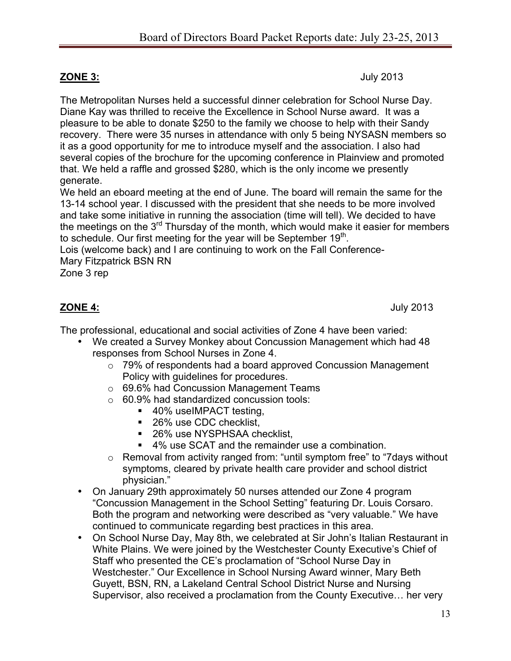**ZONE 3:** July 2013

The Metropolitan Nurses held a successful dinner celebration for School Nurse Day. Diane Kay was thrilled to receive the Excellence in School Nurse award. It was a pleasure to be able to donate \$250 to the family we choose to help with their Sandy recovery. There were 35 nurses in attendance with only 5 being NYSASN members so it as a good opportunity for me to introduce myself and the association. I also had several copies of the brochure for the upcoming conference in Plainview and promoted that. We held a raffle and grossed \$280, which is the only income we presently generate.

We held an eboard meeting at the end of June. The board will remain the same for the 13-14 school year. I discussed with the president that she needs to be more involved and take some initiative in running the association (time will tell). We decided to have the meetings on the  $3<sup>rd</sup>$  Thursday of the month, which would make it easier for members to schedule. Our first meeting for the year will be September  $19<sup>th</sup>$ .

Lois (welcome back) and I are continuing to work on the Fall Conference-Mary Fitzpatrick BSN RN

Zone 3 rep

**ZONE 4:** July 2013

The professional, educational and social activities of Zone 4 have been varied:

- We created a Survey Monkey about Concussion Management which had 48 responses from School Nurses in Zone 4.
	- o 79% of respondents had a board approved Concussion Management Policy with guidelines for procedures.
	- o 69.6% had Concussion Management Teams
	- o 60.9% had standardized concussion tools:
		- 40% useIMPACT testing,
		- 26% use CDC checklist,
		- 26% use NYSPHSAA checklist.
		- 4% use SCAT and the remainder use a combination.
	- o Removal from activity ranged from: "until symptom free" to "7days without symptoms, cleared by private health care provider and school district physician."
- On January 29th approximately 50 nurses attended our Zone 4 program "Concussion Management in the School Setting" featuring Dr. Louis Corsaro. Both the program and networking were described as "very valuable." We have continued to communicate regarding best practices in this area.
- On School Nurse Day, May 8th, we celebrated at Sir John's Italian Restaurant in White Plains. We were joined by the Westchester County Executive's Chief of Staff who presented the CE's proclamation of "School Nurse Day in Westchester." Our Excellence in School Nursing Award winner, Mary Beth Guyett, BSN, RN, a Lakeland Central School District Nurse and Nursing Supervisor, also received a proclamation from the County Executive… her very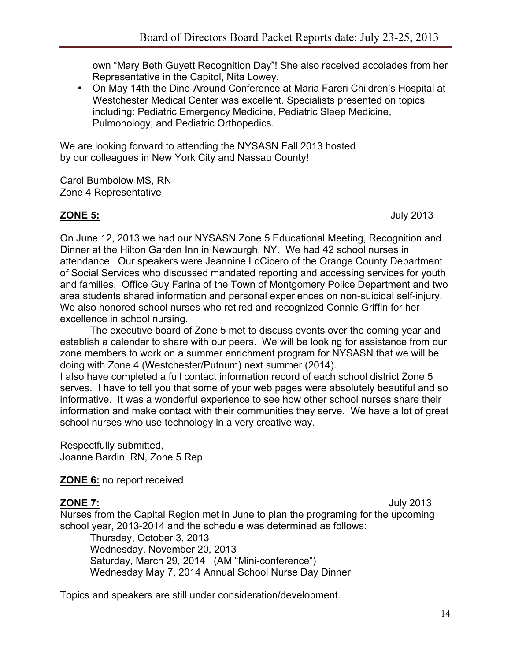own "Mary Beth Guyett Recognition Day"! She also received accolades from her Representative in the Capitol, Nita Lowey.

• On May 14th the Dine-Around Conference at Maria Fareri Children's Hospital at Westchester Medical Center was excellent. Specialists presented on topics including: Pediatric Emergency Medicine, Pediatric Sleep Medicine, Pulmonology, and Pediatric Orthopedics.

We are looking forward to attending the NYSASN Fall 2013 hosted by our colleagues in New York City and Nassau County!

Carol Bumbolow MS, RN Zone 4 Representative

**ZONE 5:** July 2013

On June 12, 2013 we had our NYSASN Zone 5 Educational Meeting, Recognition and Dinner at the Hilton Garden Inn in Newburgh, NY. We had 42 school nurses in attendance. Our speakers were Jeannine LoCicero of the Orange County Department of Social Services who discussed mandated reporting and accessing services for youth and families. Office Guy Farina of the Town of Montgomery Police Department and two area students shared information and personal experiences on non-suicidal self-injury. We also honored school nurses who retired and recognized Connie Griffin for her excellence in school nursing.

The executive board of Zone 5 met to discuss events over the coming year and establish a calendar to share with our peers. We will be looking for assistance from our zone members to work on a summer enrichment program for NYSASN that we will be doing with Zone 4 (Westchester/Putnum) next summer (2014).

I also have completed a full contact information record of each school district Zone 5 serves. I have to tell you that some of your web pages were absolutely beautiful and so informative. It was a wonderful experience to see how other school nurses share their information and make contact with their communities they serve. We have a lot of great school nurses who use technology in a very creative way.

Respectfully submitted, Joanne Bardin, RN, Zone 5 Rep

**ZONE 6:** no report received

**ZONE 7:** July 2013

Nurses from the Capital Region met in June to plan the programing for the upcoming school year, 2013-2014 and the schedule was determined as follows:

Thursday, October 3, 2013 Wednesday, November 20, 2013 Saturday, March 29, 2014 (AM "Mini-conference") Wednesday May 7, 2014 Annual School Nurse Day Dinner

Topics and speakers are still under consideration/development.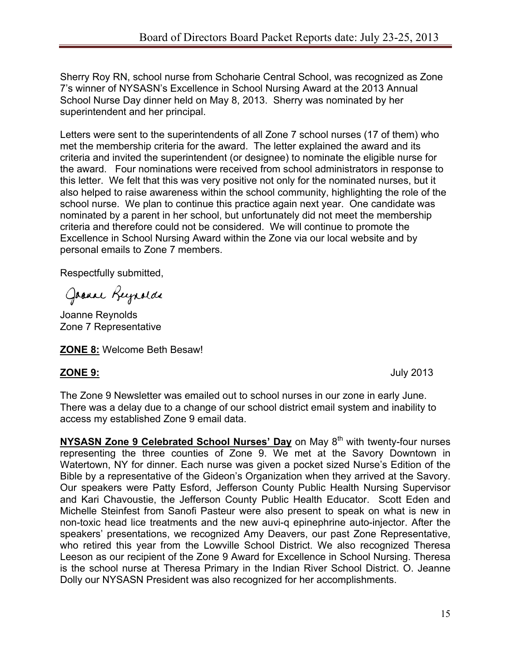Sherry Roy RN, school nurse from Schoharie Central School, was recognized as Zone 7's winner of NYSASN's Excellence in School Nursing Award at the 2013 Annual School Nurse Day dinner held on May 8, 2013. Sherry was nominated by her superintendent and her principal.

Letters were sent to the superintendents of all Zone 7 school nurses (17 of them) who met the membership criteria for the award. The letter explained the award and its criteria and invited the superintendent (or designee) to nominate the eligible nurse for the award. Four nominations were received from school administrators in response to this letter. We felt that this was very positive not only for the nominated nurses, but it also helped to raise awareness within the school community, highlighting the role of the school nurse. We plan to continue this practice again next year. One candidate was nominated by a parent in her school, but unfortunately did not meet the membership criteria and therefore could not be considered. We will continue to promote the Excellence in School Nursing Award within the Zone via our local website and by personal emails to Zone 7 members.

Respectfully submitted,

Joanne Reynolds

Joanne Reynolds Zone 7 Representative

**ZONE 8:** Welcome Beth Besaw!

**ZONE 9:** July 2013

The Zone 9 Newsletter was emailed out to school nurses in our zone in early June. There was a delay due to a change of our school district email system and inability to access my established Zone 9 email data.

**NYSASN Zone 9 Celebrated School Nurses' Day** on May 8<sup>th</sup> with twenty-four nurses representing the three counties of Zone 9. We met at the Savory Downtown in Watertown, NY for dinner. Each nurse was given a pocket sized Nurse's Edition of the Bible by a representative of the Gideon's Organization when they arrived at the Savory. Our speakers were Patty Esford, Jefferson County Public Health Nursing Supervisor and Kari Chavoustie, the Jefferson County Public Health Educator. Scott Eden and Michelle Steinfest from Sanofi Pasteur were also present to speak on what is new in non-toxic head lice treatments and the new auvi-q epinephrine auto-injector. After the speakers' presentations, we recognized Amy Deavers, our past Zone Representative, who retired this year from the Lowville School District. We also recognized Theresa Leeson as our recipient of the Zone 9 Award for Excellence in School Nursing. Theresa is the school nurse at Theresa Primary in the Indian River School District. O. Jeanne Dolly our NYSASN President was also recognized for her accomplishments.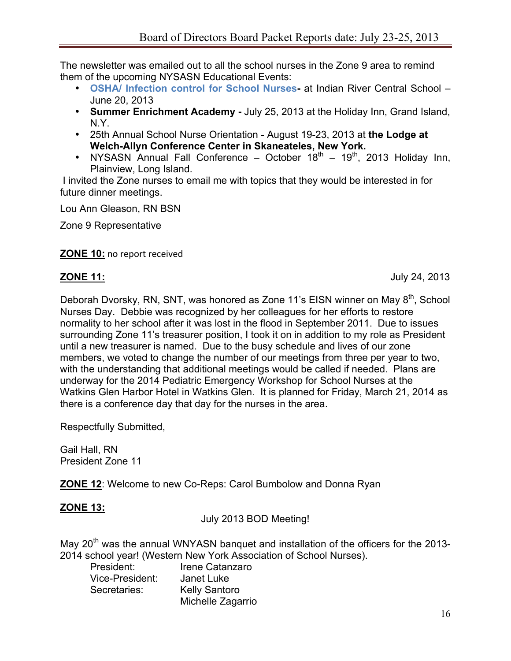The newsletter was emailed out to all the school nurses in the Zone 9 area to remind them of the upcoming NYSASN Educational Events:

- **OSHA/ Infection control for School Nurses-** at Indian River Central School June 20, 2013
- **Summer Enrichment Academy -** July 25, 2013 at the Holiday Inn, Grand Island, N.Y.
- 25th Annual School Nurse Orientation August 19-23, 2013 at **the Lodge at Welch-Allyn Conference Center in Skaneateles, New York.**
- NYSASN Annual Fall Conference October  $18<sup>th</sup>$   $19<sup>th</sup>$ , 2013 Holiday Inn, Plainview, Long Island.

 I invited the Zone nurses to email me with topics that they would be interested in for future dinner meetings.

Lou Ann Gleason, RN BSN

Zone 9 Representative

#### **ZONE 10: no report received**

**ZONE 11:** July 24, 2013

Deborah Dvorsky, RN, SNT, was honored as Zone 11's EISN winner on May 8<sup>th</sup>, School Nurses Day. Debbie was recognized by her colleagues for her efforts to restore normality to her school after it was lost in the flood in September 2011. Due to issues surrounding Zone 11's treasurer position, I took it on in addition to my role as President until a new treasurer is named. Due to the busy schedule and lives of our zone members, we voted to change the number of our meetings from three per year to two, with the understanding that additional meetings would be called if needed. Plans are underway for the 2014 Pediatric Emergency Workshop for School Nurses at the Watkins Glen Harbor Hotel in Watkins Glen. It is planned for Friday, March 21, 2014 as there is a conference day that day for the nurses in the area.

Respectfully Submitted,

Gail Hall, RN President Zone 11

**ZONE 12**: Welcome to new Co-Reps: Carol Bumbolow and Donna Ryan

## **ZONE 13:**

July 2013 BOD Meeting!

May  $20<sup>th</sup>$  was the annual WNYASN banguet and installation of the officers for the 2013-2014 school year! (Western New York Association of School Nurses).

| President:      | Irene Catanzaro      |
|-----------------|----------------------|
| Vice-President: | Janet Luke           |
| Secretaries:    | <b>Kelly Santoro</b> |
|                 | Michelle Zagarrio    |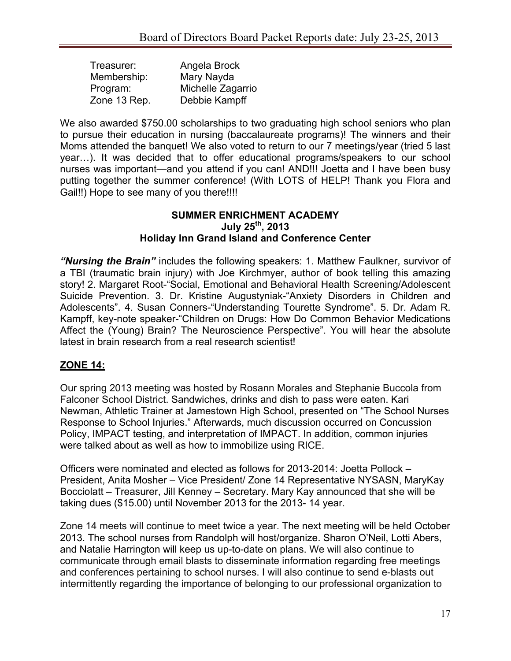| Treasurer:   | Angela Brock      |
|--------------|-------------------|
| Membership:  | Mary Nayda        |
| Program:     | Michelle Zagarrio |
| Zone 13 Rep. | Debbie Kampff     |

We also awarded \$750.00 scholarships to two graduating high school seniors who plan to pursue their education in nursing (baccalaureate programs)! The winners and their Moms attended the banquet! We also voted to return to our 7 meetings/year (tried 5 last year…). It was decided that to offer educational programs/speakers to our school nurses was important—and you attend if you can! AND!!! Joetta and I have been busy putting together the summer conference! (With LOTS of HELP! Thank you Flora and Gail!!) Hope to see many of you there!!!!

#### **SUMMER ENRICHMENT ACADEMY July 25th, 2013 Holiday Inn Grand Island and Conference Center**

*"Nursing the Brain"* includes the following speakers: 1. Matthew Faulkner, survivor of a TBI (traumatic brain injury) with Joe Kirchmyer, author of book telling this amazing story! 2. Margaret Root-"Social, Emotional and Behavioral Health Screening/Adolescent Suicide Prevention. 3. Dr. Kristine Augustyniak-"Anxiety Disorders in Children and Adolescents". 4. Susan Conners-"Understanding Tourette Syndrome". 5. Dr. Adam R. Kampff, key-note speaker-"Children on Drugs: How Do Common Behavior Medications Affect the (Young) Brain? The Neuroscience Perspective". You will hear the absolute latest in brain research from a real research scientist!

### **ZONE 14:**

Our spring 2013 meeting was hosted by Rosann Morales and Stephanie Buccola from Falconer School District. Sandwiches, drinks and dish to pass were eaten. Kari Newman, Athletic Trainer at Jamestown High School, presented on "The School Nurses Response to School Injuries." Afterwards, much discussion occurred on Concussion Policy, IMPACT testing, and interpretation of IMPACT. In addition, common injuries were talked about as well as how to immobilize using RICE.

Officers were nominated and elected as follows for 2013-2014: Joetta Pollock – President, Anita Mosher – Vice President/ Zone 14 Representative NYSASN, MaryKay Bocciolatt – Treasurer, Jill Kenney – Secretary. Mary Kay announced that she will be taking dues (\$15.00) until November 2013 for the 2013- 14 year.

Zone 14 meets will continue to meet twice a year. The next meeting will be held October 2013. The school nurses from Randolph will host/organize. Sharon O'Neil, Lotti Abers, and Natalie Harrington will keep us up-to-date on plans. We will also continue to communicate through email blasts to disseminate information regarding free meetings and conferences pertaining to school nurses. I will also continue to send e-blasts out intermittently regarding the importance of belonging to our professional organization to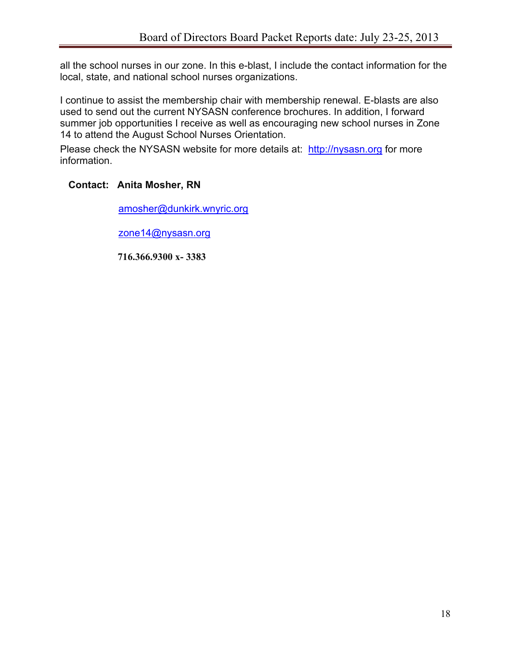all the school nurses in our zone. In this e-blast, I include the contact information for the local, state, and national school nurses organizations.

I continue to assist the membership chair with membership renewal. E-blasts are also used to send out the current NYSASN conference brochures. In addition, I forward summer job opportunities I receive as well as encouraging new school nurses in Zone 14 to attend the August School Nurses Orientation.

Please check the NYSASN website for more details at: http://nysasn.org for more information.

## **Contact: Anita Mosher, RN**

amosher@dunkirk.wnyric.org

zone14@nysasn.org

 **716.366.9300 x- 3383**